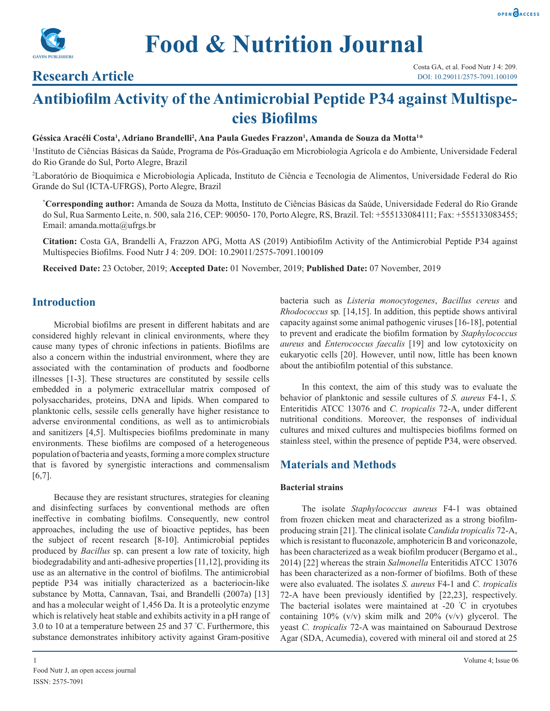



# **Research Article**

# **Antibiofilm Activity of the Antimicrobial Peptide P34 against Multispecies Biofilms**

 $G$ éssica Aracéli Costa<sup>1</sup>, Adriano Brandelli<sup>2</sup>, Ana Paula Guedes Frazzon<sup>1</sup>, Amanda de Souza da Motta<sup>1\*</sup>

1 Instituto de Ciências Básicas da Saúde, Programa de Pós-Graduação em Microbiologia Agrícola e do Ambiente, Universidade Federal do Rio Grande do Sul, Porto Alegre, Brazil

2 Laboratório de Bioquímica e Microbiologia Aplicada, Instituto de Ciência e Tecnologia de Alimentos, Universidade Federal do Rio Grande do Sul (ICTA-UFRGS), Porto Alegre, Brazil

**\* Corresponding author:** Amanda de Souza da Motta, Instituto de Ciências Básicas da Saúde, Universidade Federal do Rio Grande do Sul, Rua Sarmento Leite, n. 500, sala 216, CEP: 90050- 170, Porto Alegre, RS, Brazil. Tel: +555133084111; Fax: +555133083455; Email: amanda.motta@ufrgs.br

**Citation:** Costa GA, Brandelli A, Frazzon APG, Motta AS (2019) Antibiofilm Activity of the Antimicrobial Peptide P34 against Multispecies Biofilms. Food Nutr J 4: 209. DOI: 10.29011/2575-7091.100109

**Received Date:** 23 October, 2019; **Accepted Date:** 01 November, 2019; **Published Date:** 07 November, 2019

### **Introduction**

Microbial biofilms are present in different habitats and are considered highly relevant in clinical environments, where they cause many types of chronic infections in patients. Biofilms are also a concern within the industrial environment, where they are associated with the contamination of products and foodborne illnesses [1-3]. These structures are constituted by sessile cells embedded in a polymeric extracellular matrix composed of polysaccharides, proteins, DNA and lipids. When compared to planktonic cells, sessile cells generally have higher resistance to adverse environmental conditions, as well as to antimicrobials and sanitizers [4,5]. Multispecies biofilms predominate in many environments. These biofilms are composed of a heterogeneous population of bacteria and yeasts, forming a more complex structure that is favored by synergistic interactions and commensalism  $[6,7]$ .

Because they are resistant structures, strategies for cleaning and disinfecting surfaces by conventional methods are often ineffective in combating biofilms. Consequently, new control approaches, including the use of bioactive peptides, has been the subject of recent research [8-10]. Antimicrobial peptides produced by *Bacillus* sp. can present a low rate of toxicity, high biodegradability and anti-adhesive properties [11,12], providing its use as an alternative in the control of biofilms. The antimicrobial peptide P34 was initially characterized as a bacteriocin-like substance by Motta, Cannavan, Tsai, and Brandelli (2007a) [13] and has a molecular weight of 1,456 Da. It is a proteolytic enzyme which is relatively heat stable and exhibits activity in a pH range of 3.0 to 10 at a temperature between 25 and 37 ° C. Furthermore, this substance demonstrates inhibitory activity against Gram-positive

bacteria such as *Listeria monocytogenes*, *Bacillus cereus* and *Rhodococcus* sp*.* [14,15]. In addition, this peptide shows antiviral capacity against some animal pathogenic viruses [16-18], potential to prevent and eradicate the biofilm formation by *Staphylococcus aureus* and *Enterococcus faecalis* [19] and low cytotoxicity on eukaryotic cells [20]. However, until now, little has been known about the antibiofilm potential of this substance.

In this context, the aim of this study was to evaluate the behavior of planktonic and sessile cultures of *S. aureus* F4-1, *S.*  Enteritidis ATCC 13076 and *C. tropicalis* 72-A, under different nutritional conditions. Moreover, the responses of individual cultures and mixed cultures and multispecies biofilms formed on stainless steel, within the presence of peptide P34, were observed.

# **Materials and Methods**

#### **Bacterial strains**

The isolate *Staphylococcus aureus* F4-1 was obtained from frozen chicken meat and characterized as a strong biofilmproducing strain [21]. The clinical isolate *Candida tropicalis* 72-A, which is resistant to fluconazole, amphotericin B and voriconazole, has been characterized as a weak biofilm producer (Bergamo et al., 2014) [22] whereas the strain *Salmonella* Enteritidis ATCC 13076 has been characterized as a non-former of biofilms. Both of these were also evaluated. The isolates *S. aureus* F4-1 and *C. tropicalis*  72-A have been previously identified by [22,23], respectively. The bacterial isolates were maintained at -20 <sup>º</sup> C in cryotubes containing 10% (v/v) skim milk and 20% (v/v) glycerol. The yeast *C. tropicalis* 72-A was maintained on Sabouraud Dextrose Agar (SDA, Acumedia), covered with mineral oil and stored at 25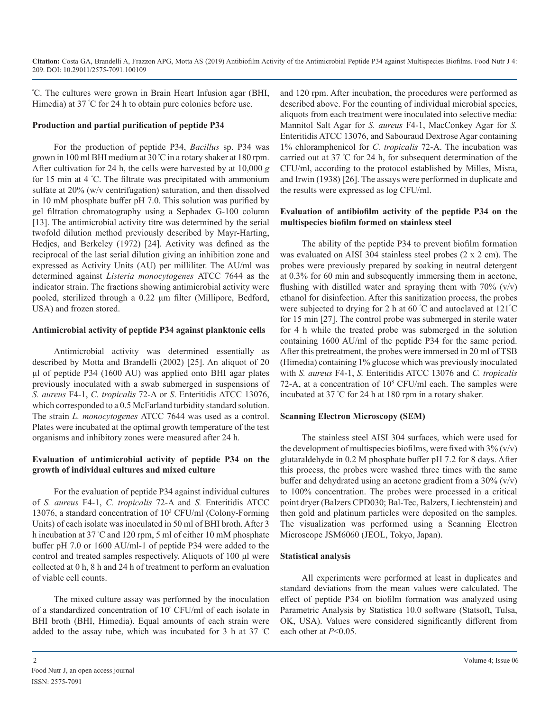º C. The cultures were grown in Brain Heart Infusion agar (BHI, Himedia) at 37 <sup>º</sup> C for 24 h to obtain pure colonies before use.

#### **Production and partial purification of peptide P34**

For the production of peptide P34, *Bacillus* sp. P34 was grown in 100 ml BHI medium at 30 <sup>º</sup> C in a rotary shaker at 180 rpm. After cultivation for 24 h, the cells were harvested by at 10,000 *g*  for 15 min at 4 º C. The filtrate was precipitated with ammonium sulfate at 20% (w/v centrifugation) saturation, and then dissolved in 10 mM phosphate buffer pH 7.0. This solution was purified by gel filtration chromatography using a Sephadex G-100 column [13]. The antimicrobial activity titre was determined by the serial twofold dilution method previously described by Mayr-Harting, Hedjes, and Berkeley (1972) [24]. Activity was defined as the reciprocal of the last serial dilution giving an inhibition zone and expressed as Activity Units (AU) per milliliter. The AU/ml was determined against *Listeria monocytogenes* ATCC 7644 as the indicator strain. The fractions showing antimicrobial activity were pooled, sterilized through a 0.22 μm filter (Millipore, Bedford, USA) and frozen stored.

#### **Antimicrobial activity of peptide P34 against planktonic cells**

Antimicrobial activity was determined essentially as described by Motta and Brandelli (2002) [25]. An aliquot of 20 μl of peptide P34 (1600 AU) was applied onto BHI agar plates previously inoculated with a swab submerged in suspensions of *S. aureus* F4-1, *C. tropicalis* 72-A or *S*. Enteritidis ATCC 13076, which corresponded to a 0.5 McFarland turbidity standard solution. The strain *L. monocytogenes* ATCC 7644 was used as a control. Plates were incubated at the optimal growth temperature of the test organisms and inhibitory zones were measured after 24 h.

#### **Evaluation of antimicrobial activity of peptide P34 on the growth of individual cultures and mixed culture**

For the evaluation of peptide P34 against individual cultures of *S. aureus* F4-1, *C. tropicalis* 72-A and *S.* Enteritidis ATCC 13076, a standard concentration of 103 CFU/ml (Colony-Forming Units) of each isolate was inoculated in 50 ml of BHI broth. After 3 h incubation at 37 <sup>º</sup> C and 120 rpm, 5 ml of either 10 mM phosphate buffer pH 7.0 or 1600 AU/ml-1 of peptide P34 were added to the control and treated samples respectively. Aliquots of 100 μl were collected at 0 h, 8 h and 24 h of treatment to perform an evaluation of viable cell counts.

The mixed culture assay was performed by the inoculation of a standardized concentration of 10<sup>°</sup> CFU/ml of each isolate in BHI broth (BHI, Himedia). Equal amounts of each strain were added to the assay tube, which was incubated for 3 h at 37 <sup>º</sup> C and 120 rpm. After incubation, the procedures were performed as described above. For the counting of individual microbial species, aliquots from each treatment were inoculated into selective media: Mannitol Salt Agar for *S. aureus* F4-1, MacConkey Agar for *S.*  Enteritidis ATCC 13076, and Sabouraud Dextrose Agar containing 1% chloramphenicol for *C. tropicalis* 72-A. The incubation was carried out at 37 º C for 24 h, for subsequent determination of the CFU/ml, according to the protocol established by Milles, Misra, and Irwin (1938) [26]. The assays were performed in duplicate and the results were expressed as log CFU/ml.

#### **Evaluation of antibiofilm activity of the peptide P34 on the multispecies biofilm formed on stainless steel**

The ability of the peptide P34 to prevent biofilm formation was evaluated on AISI 304 stainless steel probes (2 x 2 cm). The probes were previously prepared by soaking in neutral detergent at 0.3% for 60 min and subsequently immersing them in acetone, flushing with distilled water and spraying them with  $70\%$  (v/v) ethanol for disinfection. After this sanitization process, the probes were subjected to drying for 2 h at 60 °C and autoclaved at 121°C for 15 min [27]. The control probe was submerged in sterile water for 4 h while the treated probe was submerged in the solution containing 1600 AU/ml of the peptide P34 for the same period. After this pretreatment, the probes were immersed in 20 ml of TSB (Himedia) containing 1% glucose which was previously inoculated with *S. aureus* F4-1, *S.* Enteritidis ATCC 13076 and *C. tropicalis*  72-A, at a concentration of  $10^8$  CFU/ml each. The samples were incubated at 37 º C for 24 h at 180 rpm in a rotary shaker.

#### **Scanning Electron Microscopy (SEM)**

The stainless steel AISI 304 surfaces, which were used for the development of multispecies biofilms, were fixed with  $3\%$  (v/v) glutaraldehyde in 0.2 M phosphate buffer pH 7.2 for 8 days. After this process, the probes were washed three times with the same buffer and dehydrated using an acetone gradient from a  $30\%$  (v/v) to 100% concentration. The probes were processed in a critical point dryer (Balzers CPD030; Bal-Tec, Balzers, Liechtenstein) and then gold and platinum particles were deposited on the samples. The visualization was performed using a Scanning Electron Microscope JSM6060 (JEOL, Tokyo, Japan).

#### **Statistical analysis**

All experiments were performed at least in duplicates and standard deviations from the mean values were calculated. The effect of peptide P34 on biofilm formation was analyzed using Parametric Analysis by Statistica 10.0 software (Statsoft, Tulsa, OK, USA). Values were considered significantly different from each other at *P*<0.05.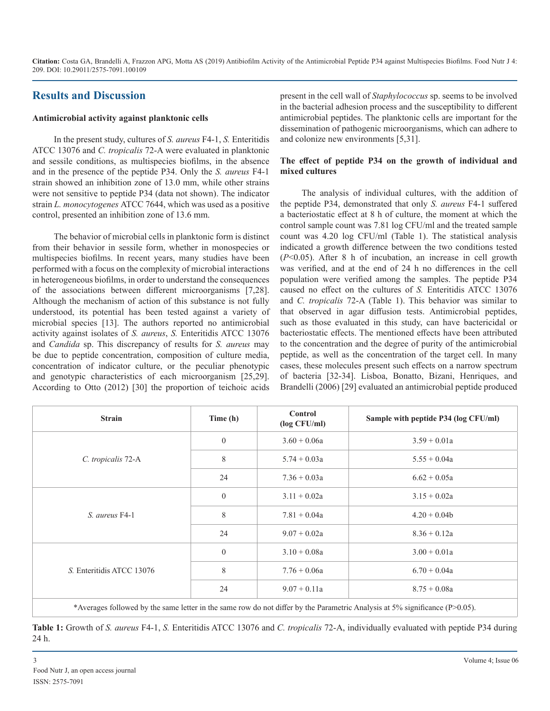# **Results and Discussion**

#### **Antimicrobial activity against planktonic cells**

In the present study, cultures of *S. aureus* F4-1, *S.* Enteritidis ATCC 13076 and *C. tropicalis* 72-A were evaluated in planktonic and sessile conditions, as multispecies biofilms, in the absence and in the presence of the peptide P34. Only the *S. aureus* F4-1 strain showed an inhibition zone of 13.0 mm, while other strains were not sensitive to peptide P34 (data not shown). The indicator strain *L. monocytogenes* ATCC 7644, which was used as a positive control, presented an inhibition zone of 13.6 mm.

The behavior of microbial cells in planktonic form is distinct from their behavior in sessile form, whether in monospecies or multispecies biofilms. In recent years, many studies have been performed with a focus on the complexity of microbial interactions in heterogeneous biofilms, in order to understand the consequences of the associations between different microorganisms [7,28]. Although the mechanism of action of this substance is not fully understood, its potential has been tested against a variety of microbial species [13]. The authors reported no antimicrobial activity against isolates of *S. aureus*, *S.* Enteritidis ATCC 13076 and *Candida* sp. This discrepancy of results for *S. aureus* may be due to peptide concentration, composition of culture media, concentration of indicator culture, or the peculiar phenotypic and genotypic characteristics of each microorganism [25,29]. According to Otto (2012) [30] the proportion of teichoic acids

present in the cell wall of *Staphylococcus* sp. seems to be involved in the bacterial adhesion process and the susceptibility to different antimicrobial peptides. The planktonic cells are important for the dissemination of pathogenic microorganisms, which can adhere to and colonize new environments [5,31].

#### **The effect of peptide P34 on the growth of individual and mixed cultures**

The analysis of individual cultures, with the addition of the peptide P34, demonstrated that only *S. aureus* F4-1 suffered a bacteriostatic effect at 8 h of culture, the moment at which the control sample count was 7.81 log CFU/ml and the treated sample count was 4.20 log CFU/ml (Table 1). The statistical analysis indicated a growth difference between the two conditions tested (*P*<0.05). After 8 h of incubation, an increase in cell growth was verified, and at the end of 24 h no differences in the cell population were verified among the samples. The peptide P34 caused no effect on the cultures of *S.* Enteritidis ATCC 13076 and *C. tropicalis* 72-A (Table 1). This behavior was similar to that observed in agar diffusion tests. Antimicrobial peptides, such as those evaluated in this study, can have bactericidal or bacteriostatic effects. The mentioned effects have been attributed to the concentration and the degree of purity of the antimicrobial peptide, as well as the concentration of the target cell. In many cases, these molecules present such effects on a narrow spectrum of bacteria [32-34]. Lisboa, Bonatto, Bizani, Henriques, and Brandelli (2006) [29] evaluated an antimicrobial peptide produced

| Time (h)     | Control<br>$(\log CFU/ml)$ | Sample with peptide P34 (log CFU/ml) |
|--------------|----------------------------|--------------------------------------|
| $\mathbf{0}$ | $3.60 + 0.06a$             | $3.59 + 0.01a$                       |
| 8            | $5.74 + 0.03a$             | $5.55 + 0.04a$                       |
| 24           | $7.36 + 0.03a$             | $6.62 + 0.05a$                       |
| $\mathbf{0}$ | $3.11 + 0.02a$             | $3.15 + 0.02a$                       |
| 8            | $7.81 + 0.04a$             | $4.20 + 0.04b$                       |
| 24           | $9.07 + 0.02a$             | $8.36 + 0.12a$                       |
| $\mathbf{0}$ | $3.10 + 0.08a$             | $3.00 + 0.01a$                       |
| 8            | $7.76 + 0.06a$             | $6.70 + 0.04a$                       |
| 24           | $9.07 + 0.11a$             | $8.75 + 0.08a$                       |
|              |                            |                                      |

\*Averages followed by the same letter in the same row do not differ by the Parametric Analysis at 5% significance (P>0.05).

**Table 1:** Growth of *S. aureus* F4-1, *S.* Enteritidis ATCC 13076 and *C. tropicalis* 72-A, individually evaluated with peptide P34 during 24 h.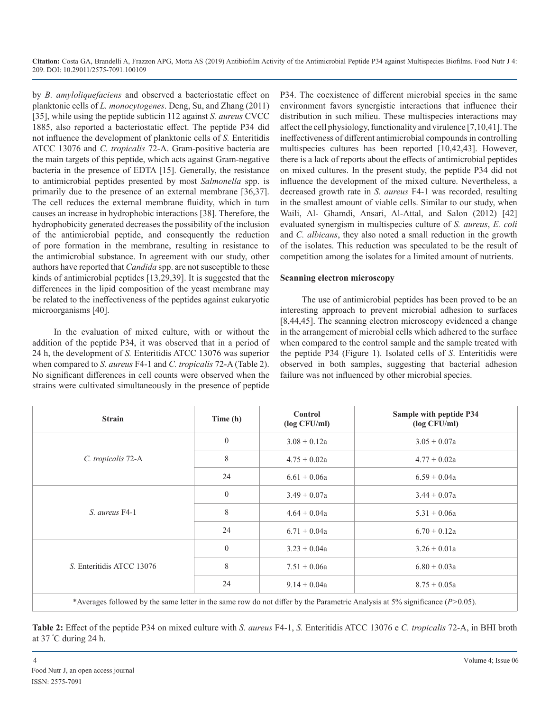by *B. amyloliquefaciens* and observed a bacteriostatic effect on planktonic cells of *L. monocytogenes*. Deng, Su, and Zhang (2011) [35], while using the peptide subticin 112 against *S. aureus* CVCC 1885, also reported a bacteriostatic effect. The peptide P34 did not influence the development of planktonic cells of *S.* Enteritidis ATCC 13076 and *C. tropicalis* 72-A. Gram-positive bacteria are the main targets of this peptide, which acts against Gram-negative bacteria in the presence of EDTA [15]. Generally, the resistance to antimicrobial peptides presented by most *Salmonella* spp. is primarily due to the presence of an external membrane [36,37]. The cell reduces the external membrane fluidity, which in turn causes an increase in hydrophobic interactions [38]. Therefore, the hydrophobicity generated decreases the possibility of the inclusion of the antimicrobial peptide, and consequently the reduction of pore formation in the membrane, resulting in resistance to the antimicrobial substance. In agreement with our study, other authors have reported that *Candida* spp. are not susceptible to these kinds of antimicrobial peptides [13,29,39]. It is suggested that the differences in the lipid composition of the yeast membrane may be related to the ineffectiveness of the peptides against eukaryotic microorganisms [40].

In the evaluation of mixed culture, with or without the addition of the peptide P34, it was observed that in a period of 24 h, the development of *S.* Enteritidis ATCC 13076 was superior when compared to *S. aureus* F4-1 and *C. tropicalis* 72-A (Table 2). No significant differences in cell counts were observed when the strains were cultivated simultaneously in the presence of peptide

P34. The coexistence of different microbial species in the same environment favors synergistic interactions that influence their distribution in such milieu. These multispecies interactions may affect the cell physiology, functionality and virulence [7,10,41]. The ineffectiveness of different antimicrobial compounds in controlling multispecies cultures has been reported [10,42,43]. However, there is a lack of reports about the effects of antimicrobial peptides on mixed cultures. In the present study, the peptide P34 did not influence the development of the mixed culture. Nevertheless, a decreased growth rate in *S. aureus* F4-1 was recorded, resulting in the smallest amount of viable cells. Similar to our study, when Waili, Al- Ghamdi, Ansari, Al-Attal, and Salon (2012) [42] evaluated synergism in multispecies culture of *S. aureus*, *E. coli*  and *C. albicans*, they also noted a small reduction in the growth of the isolates. This reduction was speculated to be the result of competition among the isolates for a limited amount of nutrients.

#### **Scanning electron microscopy**

The use of antimicrobial peptides has been proved to be an interesting approach to prevent microbial adhesion to surfaces [8,44,45]. The scanning electron microscopy evidenced a change in the arrangement of microbial cells which adhered to the surface when compared to the control sample and the sample treated with the peptide P34 (Figure 1). Isolated cells of *S*. Enteritidis were observed in both samples, suggesting that bacterial adhesion failure was not influenced by other microbial species.

| <b>Strain</b>             | Time (h)       | Control<br>$(\log CFU/ml)$ | Sample with peptide P34<br>$(\log CFU/ml)$ |
|---------------------------|----------------|----------------------------|--------------------------------------------|
| C. tropicalis 72-A        | $\overline{0}$ | $3.08 + 0.12a$             | $3.05 + 0.07a$                             |
|                           | 8              | $4.75 + 0.02a$             | $4.77 + 0.02a$                             |
|                           | 24             | $6.61 + 0.06a$             | $6.59 + 0.04a$                             |
| S. aureus F4-1            | $\overline{0}$ | $3.49 + 0.07a$             | $3.44 + 0.07a$                             |
|                           | 8              | $4.64 + 0.04a$             | $5.31 + 0.06a$                             |
|                           | 24             | $6.71 + 0.04a$             | $6.70 + 0.12a$                             |
| S. Enteritidis ATCC 13076 | $\mathbf{0}$   | $3.23 + 0.04a$             | $3.26 + 0.01a$                             |
|                           | 8              | $7.51 + 0.06a$             | $6.80 + 0.03a$                             |
|                           | 24             | $9.14 + 0.04a$             | $8.75 + 0.05a$                             |

\*Averages followed by the same letter in the same row do not differ by the Parametric Analysis at 5% significance (*P>*0.05).

**Table 2:** Effect of the peptide P34 on mixed culture with *S. aureus* F4-1, *S.* Enteritidis ATCC 13076 e *C. tropicalis* 72-A, in BHI broth at 37 º C during 24 h.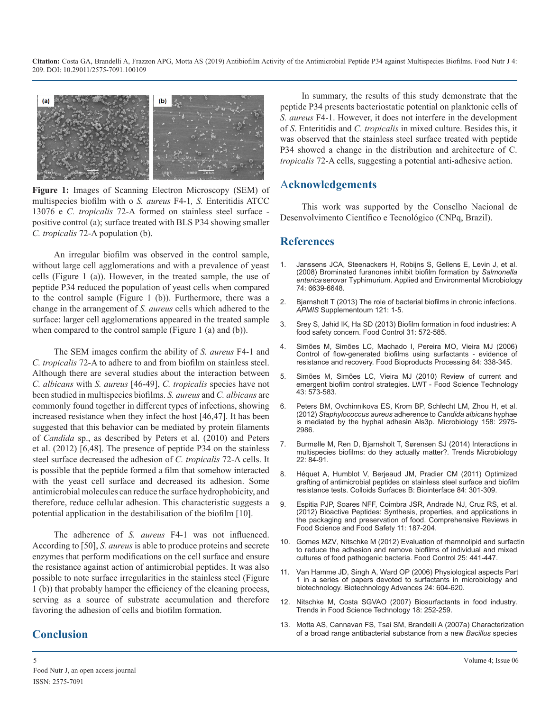

**Figure 1:** Images of Scanning Electron Microscopy (SEM) of multispecies biofilm with o *S. aureus* F4-1*, S.* Enteritidis ATCC 13076 e *C. tropicalis* 72-A formed on stainless steel surface positive control (a); surface treated with BLS P34 showing smaller *C. tropicalis* 72-A population (b).

An irregular biofilm was observed in the control sample, without large cell agglomerations and with a prevalence of yeast cells (Figure 1 (a)). However, in the treated sample, the use of peptide P34 reduced the population of yeast cells when compared to the control sample (Figure 1 (b)). Furthermore, there was a [change in the arrangement of](https://www.ncbi.nlm.nih.gov/pubmed/23635385) *S. aureus* cells which adhered to the surface: larger cell agglomerations appeared in the treated sample [when compared to the control sample \(Figure 1 \(a\) and \(b\)\).](https://www.sciencedirect.com/science/article/pii/S0956713512006536)

The SEM images confirm the ability of *S. aureus* F4-1 and *C. tropicalis* 72-A to adhere to and from biofilm on stainless steel. Although there are several studies about the interaction between *C. albicans* with *S. aureus* [46-49], *C. tropicalis* species have not been studied in multispecies biofilms. *S. aureus* and *C. albicans* are commonly found together in different types of infections, showing [increased resistance when they infect the host \[46,47\]. It has been](https://www.ncbi.nlm.nih.gov/pubmed/22918893)  suggested that this behavior can be mediated by protein filaments of *Candida* sp., as described by Peters et al. (2010) and Peters [et al. \(2012\) \[6,48\]. The presence of peptide P34 on the stainless](https://www.ncbi.nlm.nih.gov/pubmed/24440178)  steel surface decreased the adhesion of *C. tropicalis* 72-A cells. It is possible that the peptide formed a film that somehow interacted [with the yeast cell surface and decreased its adhesion. Some](https://www.ncbi.nlm.nih.gov/pubmed/21310597)  antimicrobial molecules can reduce the surface hydrophobicity, and therefore, reduce cellular adhesion. This characteristic suggests a [potential application in the destabilisation of the biofilm \[10\].](https://onlinelibrary.wiley.com/doi/full/10.1111/j.1541-4337.2011.00179.x)

The adherence of *S. aureus* F4-1 was not influenced. According to [50], *S. aureus* is able to produce proteins and secrete enzymes that perform modifications on the cell surface and ensure the resistance against action of antimicrobial peptides. It was also [possible to note surface irregularities in the stainless steel \(Figure](https://www.ncbi.nlm.nih.gov/pubmed/16979315)  1 (b)) that probably hamper the efficiency of the cleaning process, serving as a source of substrate accumulation and therefore [favoring the adhesion of cells and biofilm formation.](https://www.sciencedirect.com/science/article/abs/pii/S0924224407000362)

# **Conclusion**

In summary, the results of this study demonstrate that the peptide P34 presents bacteriostatic potential on planktonic cells of *S. aureus* F4-1. However, it does not interfere in the development of *S*. Enteritidis and *C. tropicalis* in mixed culture. Besides this, it was observed that the stainless steel surface treated with peptide P34 showed a change in the distribution and architecture of C. *tropicalis* 72-A cells, suggesting a potential anti-adhesive action.

# A**cknowledgements**

This work was supported by the Conselho Nacional de Desenvolvimento Científico e Tecnológico (CNPq, Brazil).

#### **References**

- 1. [Janssens JCA, Steenackers H, Robijns S, Gellens E, Levin J, et al.](https://aem.asm.org/content/74/21/6639) [\(2008\) Brominated furanones inhibit biofilm formation by](https://aem.asm.org/content/74/21/6639) *Salmonella enterica* [serovar Typhimurium. Applied and Environmental Microbiolog](https://aem.asm.org/content/74/21/6639)y [74: 6639-6648.](https://aem.asm.org/content/74/21/6639)
- 2. [Bjarnsholt T \(2013\) The role of bacterial biofilms in chronic infections.](https://www.ncbi.nlm.nih.gov/pubmed/23635385)  *APMIS* Supplementoum 121: 1-5.
- 3. [Srey S, Jahid IK, Ha SD \(2013\) Biofilm formation in food industries: A](https://www.sciencedirect.com/science/article/pii/S0956713512006536) food safety concern. Food Control 31: 572-585.
- 4. [Simões M, Simões LC, Machado I, Pereira MO, Vieira MJ \(2006\)](https://www.sciencedirect.com/science/article/pii/S0960308506705582)  [Control of flow-generated biofilms using surfactants - evidence of](https://www.sciencedirect.com/science/article/pii/S0960308506705582)  [resistance and recovery. Food Bioproducts Processing 84: 338-345](https://www.sciencedirect.com/science/article/pii/S0960308506705582).
- 5. [Simões M, Simões LC, Vieira MJ \(2010\) Review of current and](https://www.deepdyve.com/lp/elsevier/a-review-of-current-and-emergent-biofilm-control-strategies-7aZ5zWz6IS)  emergent biofilm control strategies. LWT - Food Science Technology 43: [573-583](https://www.deepdyve.com/lp/elsevier/a-review-of-current-and-emergent-biofilm-control-strategies-7aZ5zWz6IS).
- 6. [Peters BM, Ovchinnikova ES, Krom BP, Schlecht LM, Zhou H, et al.](https://www.ncbi.nlm.nih.gov/pubmed/22918893)  (2012) *Staphylococcus aureus* adherence to *Candida albicans* hyphae [is mediated by the hyphal adhesin Als3p. Microbiology 158:](https://www.ncbi.nlm.nih.gov/pubmed/22918893) 2975- [2986.](https://www.ncbi.nlm.nih.gov/pubmed/22918893)
- 7. [Burmølle M, Ren D, Bjarnsholt T, Sørensen SJ \(2014\) Interactions in](https://www.ncbi.nlm.nih.gov/pubmed/24440178)  multispecies biofilms: do they actually matter?. Trends Microbiology [22: 84-91.](https://www.ncbi.nlm.nih.gov/pubmed/24440178)
- 8. [Héquet A, Humblot V, Berjeaud JM, Pradier CM \(2011\) Optimized](https://www.ncbi.nlm.nih.gov/pubmed/21310597)  grafting of antimicrobial peptides on stainless steel surface and biofilm [resistance tests. Colloids Surfaces B: Biointerface 84:](https://www.ncbi.nlm.nih.gov/pubmed/21310597) 301-309.
- 9. [Espitia PJP, Soares NFF, Coimbra JSR, Andrade NJ, Cruz RS, et al.](https://onlinelibrary.wiley.com/doi/full/10.1111/j.1541-4337.2011.00179.x)  (2012) Bioactive Peptides: Synthesis, properties, and applications in [the packaging and preservation of food. Comprehensive Reviews in](https://onlinelibrary.wiley.com/doi/full/10.1111/j.1541-4337.2011.00179.x)  [Food Science and Food Safety 11: 187-204](https://onlinelibrary.wiley.com/doi/full/10.1111/j.1541-4337.2011.00179.x).
- 10. [Gomes MZV, Nitschke M \(2012\) Evaluation of rhamnolipid and surfact](https://www.sciencedirect.com/science/article/pii/S095671351100507X)in [to reduce the adhesion and remove biofilms of individual and mixed](https://www.sciencedirect.com/science/article/pii/S095671351100507X)  [cultures of food pathogenic bacteria. Food Control 25:](https://www.sciencedirect.com/science/article/pii/S095671351100507X) 441-447.
- 11. [Van Hamme JD, Singh A, Ward OP \(2006\) Physiological aspects Part](https://www.ncbi.nlm.nih.gov/pubmed/16979315)  1 in a series of papers devoted to surfactants in microbiology and [biotechnology. Biotechnology Advances 24:](https://www.ncbi.nlm.nih.gov/pubmed/16979315) 604-620.
- 12. [Nitschke M, Costa SGVAO \(2007\) Biosurfactants in food industry.](https://www.sciencedirect.com/science/article/abs/pii/S0924224407000362)  Trends in Food Science Technology 18: 252-259.
- 13. [Motta AS, Cannavan FS, Tsai SM, Brandelli A \(2007a\) Characterizatio](https://www.ncbi.nlm.nih.gov/pubmed/17534601)n [of a broad range antibacterial substance from a new](https://www.ncbi.nlm.nih.gov/pubmed/17534601) *Bacillus* species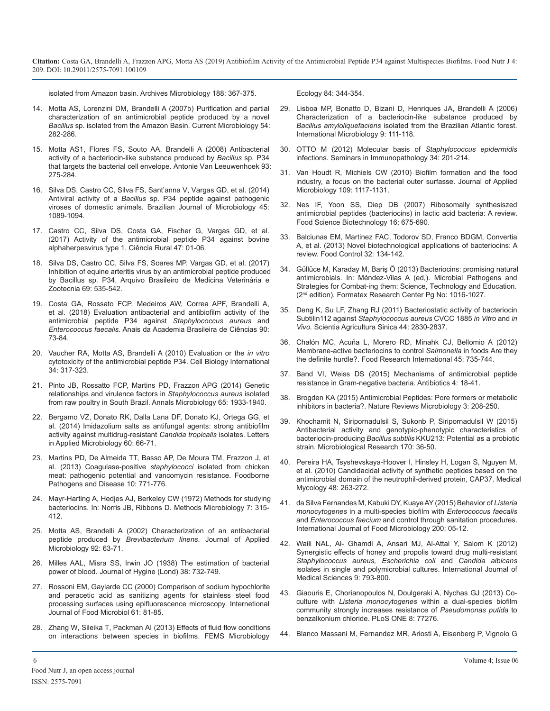[isolated from Amazon basin. Archives Microbiology 188: 367-375](https://www.ncbi.nlm.nih.gov/pubmed/17534601).

- 14. [Motta AS, Lorenzini DM, Brandelli A \(2007b\) Purification and partial](https://www.ncbi.nlm.nih.gov/pubmed/17334845)  characterization of an antimicrobial peptide produced by a novel *Bacillus* sp*.* [isolated from the Amazon Basin. Current Microbiology 54:](https://www.ncbi.nlm.nih.gov/pubmed/17334845)  [282-286.](https://www.ncbi.nlm.nih.gov/pubmed/17334845)
- 15. [Motta AS1, Flores FS, Souto AA, Brandelli A \(2008\) Antibacterial](https://www.ncbi.nlm.nih.gov/pubmed/17906937)  activity of a bacteriocin-like substance produced by *Bacillus* sp. P34 [that targets the bacterial cell envelope. Antonie Van Leeuwenhoek 93:](https://www.ncbi.nlm.nih.gov/pubmed/17906937)  [275-284](https://www.ncbi.nlm.nih.gov/pubmed/17906937).
- 16. [Silva DS, Castro CC, Silva FS, Sant'anna V, Vargas GD, et al. \(2014\)](https://www.ncbi.nlm.nih.gov/pmc/articles/PMC4204951/)  Antiviral activity of a *Bacillus* sp. P34 peptide against pathogenic [viroses of domestic animals. Brazilian Journal of Microbiology 45:](https://www.ncbi.nlm.nih.gov/pmc/articles/PMC4204951/)  [1089-1094.](https://www.ncbi.nlm.nih.gov/pmc/articles/PMC4204951/)
- 17. [Castro CC, Silva DS, Costa GA, Fischer G, Vargas GD, et al.](http://www.scielo.br/scielo.php?script=sci_arttext&pid=S0103-84782017000600451)  (2017) Activity of the antimicrobial peptide P34 against bovine [alphaherpesvirus type 1. Ciência Rural 47: 01-06](http://www.scielo.br/scielo.php?script=sci_arttext&pid=S0103-84782017000600451).
- 18. [Silva DS, Castro CC, Silva FS, Soares MP, Vargas GD, et al. \(2017\)](http://www.scielo.br/scielo.php?script=sci_arttext&pid=S0102-09352017000300535)  Inhibition of equine arteritis virus by an antimicrobial peptide produced [by Bacillus sp. P34. Arquivo Brasileiro de Medicina Veterinária e](http://www.scielo.br/scielo.php?script=sci_arttext&pid=S0102-09352017000300535) [Zootecnia 69: 535-542](http://www.scielo.br/scielo.php?script=sci_arttext&pid=S0102-09352017000300535).
- 19. [Costa GA, Rossato FCP, Medeiros AW, Correa APF, Brandelli A,](http://www.scielo.br/scielo.php?pid=S0001-37652018000100073&script=sci_abstract) et al. (2018) Evaluation antibacterial and antibiofilm activity of the [antimicrobial peptide P34 against](http://www.scielo.br/scielo.php?pid=S0001-37652018000100073&script=sci_abstract) *Staphylococcus aureus* and *Enterococcus faecalis*[. Anais da Academia Brasileira de Ciências 90:](http://www.scielo.br/scielo.php?pid=S0001-37652018000100073&script=sci_abstract) [73-84.](http://www.scielo.br/scielo.php?pid=S0001-37652018000100073&script=sci_abstract)
- 20. [Vaucher RA, Motta AS, Brandelli A \(2010\) Evaluation or the](https://onlinelibrary.wiley.com/doi/abs/10.1042/CBI20090025) *in vitro* [cytotoxicity of the antimicrobial peptide P34. Cell Biology International](https://onlinelibrary.wiley.com/doi/abs/10.1042/CBI20090025)  [34: 317-323.](https://onlinelibrary.wiley.com/doi/abs/10.1042/CBI20090025)
- 21. [Pinto JB, Rossatto FCP, Martins PD, Frazzon APG \(2014\) Genetic](https://link.springer.com/article/10.1007/s13213-014-1031-8)  relationships and virulence factors in *Staphylococcus aureus* isolated [from raw poultry in South Brazil. Annals Microbiology 65:](https://link.springer.com/article/10.1007/s13213-014-1031-8) 1933-1940.
- 22. [Bergamo VZ, Donato RK, Dalla Lana DF, Donato KJ, Ortega GG, et](https://www.ncbi.nlm.nih.gov/pubmed/25294047)  al. (2014) Imidazolium salts as antifungal agents: strong antibiofilm [activity against multidrug-resistant](https://www.ncbi.nlm.nih.gov/pubmed/25294047) *Candida tropicalis* isolates. Letters [in Applied Microbiology 60: 66-71](https://www.ncbi.nlm.nih.gov/pubmed/25294047).
- 23. [Martins PD, De Almeida TT, Basso AP, De Moura TM, Frazzon J, et](https://www.liebertpub.com/doi/abs/10.1089/fpd.2013.1492)  al. (2013) Coagulase-positive *staphylococci* isolated from chicken [meat: pathogenic potential and vancomycin resistance. Foodborne](https://www.liebertpub.com/doi/abs/10.1089/fpd.2013.1492)  [Pathogens and Disease 10: 771-776](https://www.liebertpub.com/doi/abs/10.1089/fpd.2013.1492).
- 24. [Mayr-Harting A, Hedjes AJ, Berkeley CW \(1972\) Methods for studying](https://www.sciencedirect.com/science/article/pii/S0580951708706184)  bacteriocins. In: Norris JB, Ribbons D. Methods Microbiology 7: 315- [412.](https://www.sciencedirect.com/science/article/pii/S0580951708706184)
- 25. [Motta AS, Brandelli A \(2002\) Characterization of an antibacterial](https://www.ncbi.nlm.nih.gov/pubmed/11849329)  peptide produced by *Brevibacterium linens*. Journal of Applied [Microbiology 92: 63-71](https://www.ncbi.nlm.nih.gov/pubmed/11849329).
- 26. [Milles AAL, Misra SS, Irwin JO \(1938\) The estimation of bacterial](https://www.ncbi.nlm.nih.gov/pmc/articles/PMC2199673/)  power of blood. Journal of Hygine (Lond) 38: 732-749.
- 27. [Rossoni EM, Gaylarde CC \(2000\) Comparison of sodium hypochlorite](https://www.ncbi.nlm.nih.gov/pubmed/11028962)  and peracetic acid as sanitizing agents for stainless steel food [processing surfaces using epifluorescence microscopy. Internetional](https://www.ncbi.nlm.nih.gov/pubmed/11028962)  [Journal of Food Microbiol 61: 81-85](https://www.ncbi.nlm.nih.gov/pubmed/11028962).
- 28. [Zhang W, Sileika T, Packman AI \(2013\) Effects of fluid flow conditions](https://academic.oup.com/femsec/article/84/2/344/478595)  on interactions between species in biofilms. FEMS Microbiology

[Ecology 84: 344-354](https://academic.oup.com/femsec/article/84/2/344/478595).

- 29. [Lisboa MP, Bonatto D, Bizani D, Henriques JA, Brandelli A \(2006\)](https://www.ncbi.nlm.nih.gov/pubmed/16835841)  [Characterization of a bacteriocin-like substance produced by](https://www.ncbi.nlm.nih.gov/pubmed/17334845)  *Bacillus amyloliquefaciens* [isolated from the Brazilian Atlantic forest.](https://www.ncbi.nlm.nih.gov/pubmed/16835841) [International Microbiology 9: 111-118](https://www.ncbi.nlm.nih.gov/pubmed/16835841).
- 30. [OTTO M \(2012\) Molecular basis of](https://www.ncbi.nlm.nih.gov/pubmed/22095240) *Staphylococcus epidermidis*  [infections. Seminars in Immunopathology 34: 201-214](https://www.ncbi.nlm.nih.gov/pubmed/17906937).
- 31. [Van Houdt R, Michiels CW \(2010\) Biofilm formation and the food](https://www.ncbi.nlm.nih.gov/pubmed/20522145)  industry, a focus on the bacterial outer surfasse. Journal of Applied [Microbiology 109: 1117-1131](https://www.ncbi.nlm.nih.gov/pubmed/20522145).
- 32. [Nes IF, Yoon SS, Diep DB \(2007\) Ribosomally synthesiszed](http://agris.fao.org/agris-search/search.do?recordID=KR2008000168) antimicrobial peptides (bacteriocins) in lactic acid bacteria: A review[.](http://agris.fao.org/agris-search/search.do?recordID=KR2008000168)  [Food Science Biotechnology 16: 675-690](http://agris.fao.org/agris-search/search.do?recordID=KR2008000168).
- 33. [Balciunas EM, Martinez FAC, Todorov SD, Franco BDGM, Convertia](https://www.sciencedirect.com/science/article/pii/S0956713512006275) A, et al. (2013) Novel biotechnological applications of bacteriocins: [A](https://www.sciencedirect.com/science/article/pii/S0956713512006275)  [review. Food Control 32: 134-142](https://www.sciencedirect.com/science/article/pii/S0956713512006275).
- 34. [Güllüce M, Karaday M, Bariş Ö \(2013\) Bacteriocins: promising natura](https://www.semanticscholar.org/paper/Bacteriocins%3A-Promising-Natural-Antimicrobials-Gulluce/f30f03c4529ec9293a26538a1e525c6f2277fe2a)[l](http://www.scielo.br/scielo.php?script=sci_arttext&pid=S0102-09352017000300535)  antimicrobials. In: Méndez-Vilas A (ed,). Microbial Pathogens and [Strategies for Combat-ing them: Science, Technology and Education.](https://www.semanticscholar.org/paper/Bacteriocins%3A-Promising-Natural-Antimicrobials-Gulluce/f30f03c4529ec9293a26538a1e525c6f2277fe2a)  (2<sup>nd</sup> [edition\), Formatex Research Center Pg No: 1016-1027](https://www.semanticscholar.org/paper/Bacteriocins%3A-Promising-Natural-Antimicrobials-Gulluce/f30f03c4529ec9293a26538a1e525c6f2277fe2a).
- [35. Deng K, Su LF, Zhang RJ \(2011\) Bacteriostatic activity of bacteriocin](http://www.scielo.br/scielo.php?pid=S0001-37652018000100073&script=sci_abstract)  Subtilin112 against *Staphylococcus aureus* CVCC 1885 *in Vitro* and *in Vivo.* [Scientia Agricultura Sinica 44: 2830-2837](http://www.chinaagrisci.com/EN/10.3864/j.issn.0578-1752.2011.13.022).
- 36. [Chalón MC, Acuña L, Morero RD, Minahk CJ, Bellomio A](https://www.sciencedirect.com/science/article/abs/pii/S0963996911005187) (2012) [Membrane-active bacteriocins to control](https://www.sciencedirect.com/science/article/abs/pii/S0963996911005187) *Salmonella* in foods Are they [the definite hurdle?. Food Research International 45: 735-744](https://www.sciencedirect.com/science/article/abs/pii/S0963996911005187).
- 37. [Band VI, Weiss DS \(2015\) Mechanisms of antimicrobial peptide](https://www.ncbi.nlm.nih.gov/pubmed/25927010)  resistance in Gram-negative bacteria. Antibiotics 4: 18-41.
- 38. [Brogden KA \(2015\) Antimicrobial Peptides: Pore formers or metabolic](https://www.ncbi.nlm.nih.gov/pubmed/15703760) inhibitors in bacteria?. Nature Reviews Microbiology 3: 208-250.
- 39. [Khochamit N, Siripornadulsil S, Sukonb P, Siripornadulsil W \(2015\)](https://www.ncbi.nlm.nih.gov/pubmed/25440998) Antibacterial activity and genotypic-phenotypic characteristics of bacteriocin-producing *Bacillus subtilis* [KKU213: Potential as a probiotic](https://www.ncbi.nlm.nih.gov/pubmed/25440998)  [strain. Microbiological Research 170: 36-50](https://www.ncbi.nlm.nih.gov/pubmed/25440998).
- 40. [Pereira HA, Tsyshevskaya-Hoover I, Hinsley H, Logan S, Nguyen M,](https://www.ncbi.nlm.nih.gov/pubmed/19626550) et al. (2010) Candidacidal activity of synthetic peptides based on the [antimicrobial domain of the neutrophil-derived protein, CAP37. Medica](https://www.ncbi.nlm.nih.gov/pubmed/19626550)l [Mycology 48: 263-272](https://www.ncbi.nlm.nih.gov/pubmed/19626550).
- 41. [da Silva Fernandes M, Kabuki DY, Kuaye AY \(2015\) Behavior of](https://www.ncbi.nlm.nih.gov/pubmed/25655573) *Listeria monocytogenes* [in a multi-species biofilm with](https://www.ncbi.nlm.nih.gov/pubmed/25655573) *Enterococcus faecalis*  and *Enterococcus faecium* [and control through sanitation procedures.](https://www.ncbi.nlm.nih.gov/pubmed/25655573) [International Journal of Food Microbiology 200: 05-12](https://www.ncbi.nlm.nih.gov/pubmed/25655573).
- 42. [Waili NAL, Al- Ghamdi A, Ansari MJ, Al-Attal Y, Salom K \(2012\)](https://www.ncbi.nlm.nih.gov/pmc/articles/PMC3491439/) Synergistic effects of honey and propolis toward drug multi-resistant *[Staphylococcus aureus, Escherichia coli](https://www.ncbi.nlm.nih.gov/pmc/articles/PMC3491439/)* and *Candida albicans*  [isolates in single and polymicrobial cultures. International Journal of](https://www.ncbi.nlm.nih.gov/pmc/articles/PMC2199673/)  [Medical Sciences 9:](https://www.ncbi.nlm.nih.gov/pmc/articles/PMC3491439/) 793-800.
- 43. [Giaouris E, Chorianopoulos N, Doulgeraki A, Nychas GJ \(2013\) Co](https://www.ncbi.nlm.nih.gov/pubmed/24130873)culture with *Listeria monocytogenes* within a dual-species biofil[m](https://www.ncbi.nlm.nih.gov/pubmed/24130873)  [community strongly increases resistance of](https://www.ncbi.nlm.nih.gov/pubmed/24130873) *Pseudomonas putida* to [benzalkonium chloride. PLoS ONE 8: 77276](https://www.ncbi.nlm.nih.gov/pubmed/24130873).
- 44. [Blanco Massani M, Fernandez MR, Ariosti A, Eisenberg P, Vignolo G](https://www.ncbi.nlm.nih.gov/pubmed/19680851)